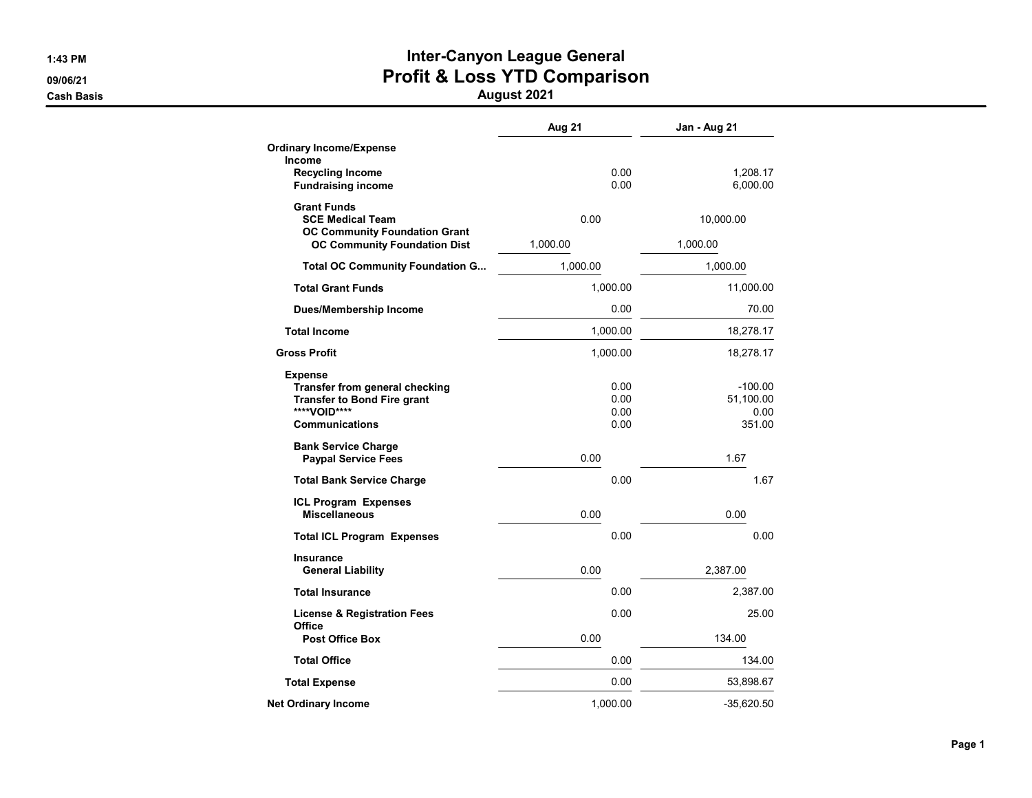# 1:43 PM **Inter-Canyon League General** 09/06/21 **Profit & Loss YTD Comparison**

|                                                                                                                                        | Aug 21                       | Jan - Aug 21                             |
|----------------------------------------------------------------------------------------------------------------------------------------|------------------------------|------------------------------------------|
| <b>Ordinary Income/Expense</b><br>Income                                                                                               |                              |                                          |
| <b>Recycling Income</b><br><b>Fundraising income</b>                                                                                   | 0.00<br>0.00                 | 1,208.17<br>6,000.00                     |
| <b>Grant Funds</b><br><b>SCE Medical Team</b>                                                                                          | 0.00                         | 10,000.00                                |
| <b>OC Community Foundation Grant</b><br><b>OC Community Foundation Dist</b>                                                            | 1,000.00                     | 1,000.00                                 |
| <b>Total OC Community Foundation G</b>                                                                                                 | 1,000.00                     | 1,000.00                                 |
| <b>Total Grant Funds</b>                                                                                                               | 1,000.00                     | 11,000.00                                |
| <b>Dues/Membership Income</b>                                                                                                          | 0.00                         | 70.00                                    |
| <b>Total Income</b>                                                                                                                    | 1,000.00                     | 18,278.17                                |
| <b>Gross Profit</b>                                                                                                                    | 1,000.00                     | 18,278.17                                |
| <b>Expense</b><br><b>Transfer from general checking</b><br><b>Transfer to Bond Fire grant</b><br>****VOID****<br><b>Communications</b> | 0.00<br>0.00<br>0.00<br>0.00 | $-100.00$<br>51,100.00<br>0.00<br>351.00 |
| <b>Bank Service Charge</b><br><b>Paypal Service Fees</b>                                                                               | 0.00                         | 1.67                                     |
| <b>Total Bank Service Charge</b>                                                                                                       | 0.00                         | 1.67                                     |
| <b>ICL Program Expenses</b><br><b>Miscellaneous</b>                                                                                    | 0.00                         | 0.00                                     |
| <b>Total ICL Program Expenses</b>                                                                                                      | 0.00                         | 0.00                                     |
| Insurance<br><b>General Liability</b>                                                                                                  | 0.00                         | 2,387.00                                 |
| <b>Total Insurance</b>                                                                                                                 | 0.00                         | 2,387.00                                 |
| <b>License &amp; Registration Fees</b>                                                                                                 | 0.00                         | 25.00                                    |
| Office<br><b>Post Office Box</b>                                                                                                       | 0.00                         | 134.00                                   |
| <b>Total Office</b>                                                                                                                    | 0.00                         | 134.00                                   |
| <b>Total Expense</b>                                                                                                                   | 0.00                         | 53,898.67                                |
| <b>Net Ordinary Income</b>                                                                                                             | 1.000.00                     | $-35,620.50$                             |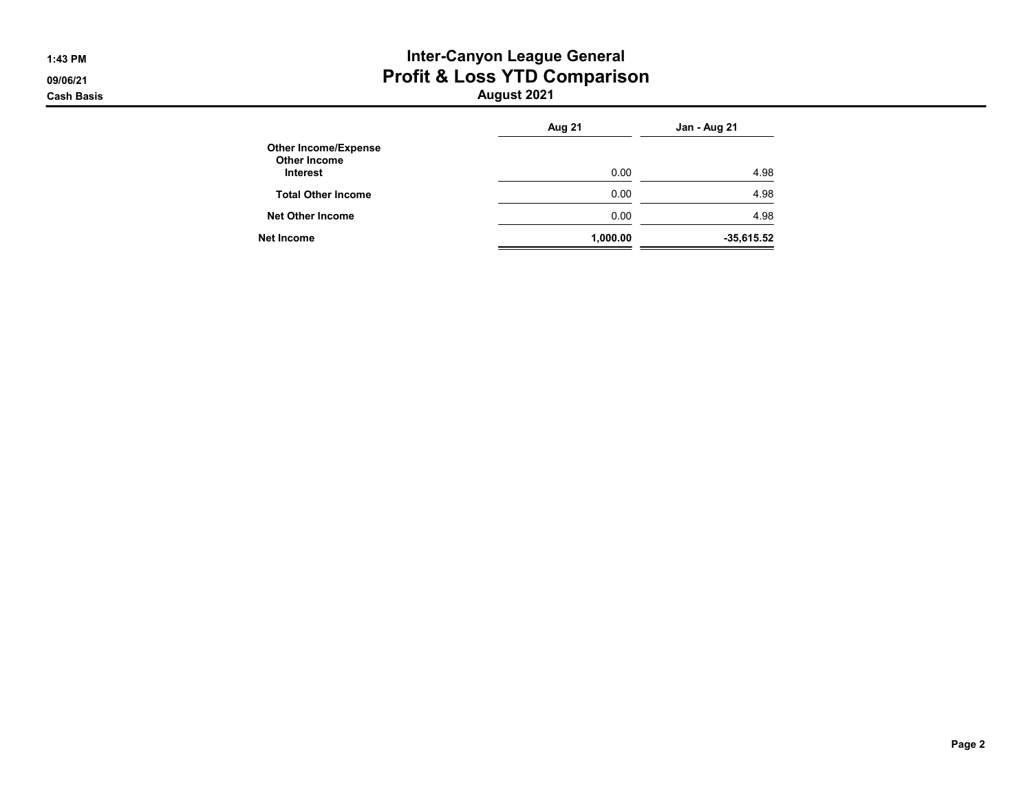## 1:43 PM **Inter-Canyon League General** 09/06/21 **Profit & Loss YTD Comparison**

|                                                                       | Aug 21   | Jan - Aug 21 |
|-----------------------------------------------------------------------|----------|--------------|
| <b>Other Income/Expense</b><br><b>Other Income</b><br><b>Interest</b> | 0.00     | 4.98         |
| <b>Total Other Income</b>                                             | 0.00     | 4.98         |
| <b>Net Other Income</b>                                               | 0.00     | 4.98         |
| Net Income                                                            | 1,000.00 | $-35,615.52$ |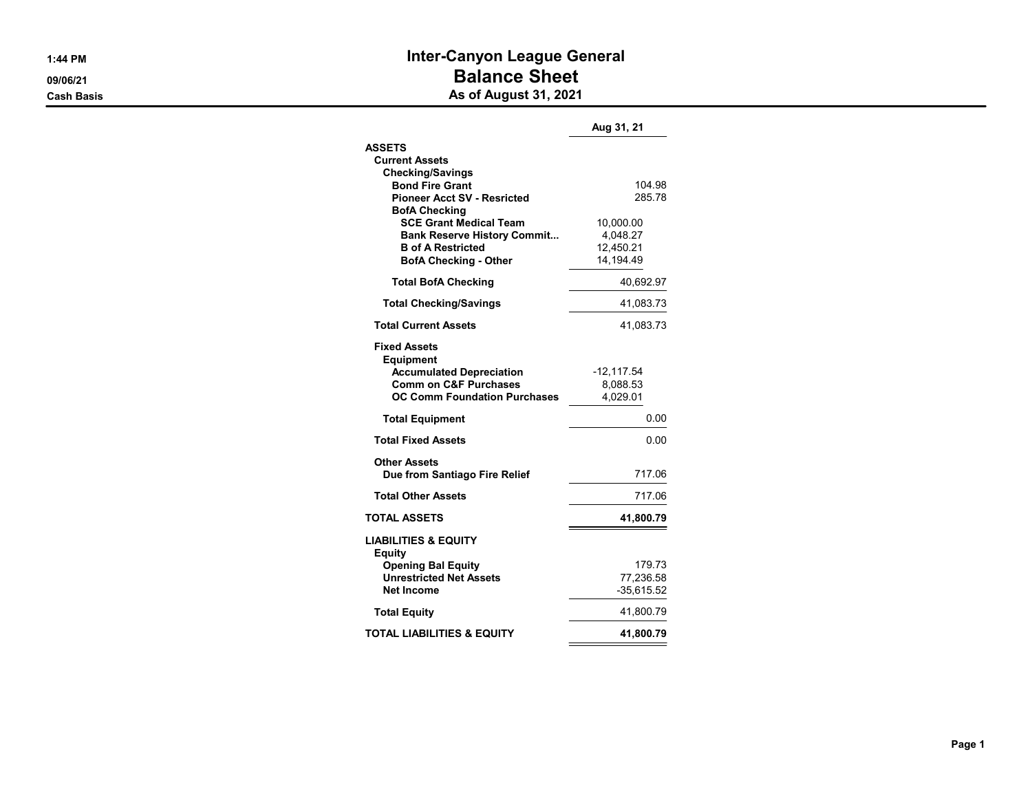## 1:44 PM **Inter-Canyon League General** 09/06/21 **Balance Sheet** External<br>Cash Basis **As of August 31, 2021**

|                                                                | Aug 31, 21            |
|----------------------------------------------------------------|-----------------------|
| <b>ASSETS</b>                                                  |                       |
| <b>Current Assets</b>                                          |                       |
| <b>Checking/Savings</b><br><b>Bond Fire Grant</b>              | 104.98                |
| <b>Pioneer Acct SV - Resricted</b>                             | 285.78                |
| <b>BofA Checking</b>                                           |                       |
| <b>SCE Grant Medical Team</b>                                  | 10,000.00             |
| <b>Bank Reserve History Commit</b><br><b>B</b> of A Restricted | 4,048.27<br>12.450.21 |
| <b>BofA Checking - Other</b>                                   | 14,194.49             |
| <b>Total BofA Checking</b>                                     | 40,692.97             |
| <b>Total Checking/Savings</b>                                  | 41,083.73             |
| <b>Total Current Assets</b>                                    | 41,083.73             |
| <b>Fixed Assets</b><br><b>Equipment</b>                        |                       |
| <b>Accumulated Depreciation</b>                                | $-12,117.54$          |
| <b>Comm on C&amp;F Purchases</b>                               | 8,088.53              |
| <b>OC Comm Foundation Purchases</b>                            | 4,029.01              |
| <b>Total Equipment</b>                                         | 0.00                  |
| <b>Total Fixed Assets</b>                                      | 0.00                  |
| <b>Other Assets</b><br>Due from Santiago Fire Relief           | 717.06                |
| <b>Total Other Assets</b>                                      | 717.06                |
| TOTAL ASSETS                                                   | 41,800.79             |
| <b>LIABILITIES &amp; EQUITY</b><br><b>Equity</b>               |                       |
| <b>Opening Bal Equity</b>                                      | 179.73                |
| <b>Unrestricted Net Assets</b>                                 | 77,236.58             |
| <b>Net Income</b>                                              | $-35,615.52$          |
| <b>Total Equity</b>                                            | 41,800.79             |
| <b>TOTAL LIABILITIES &amp; EQUITY</b>                          | 41,800.79             |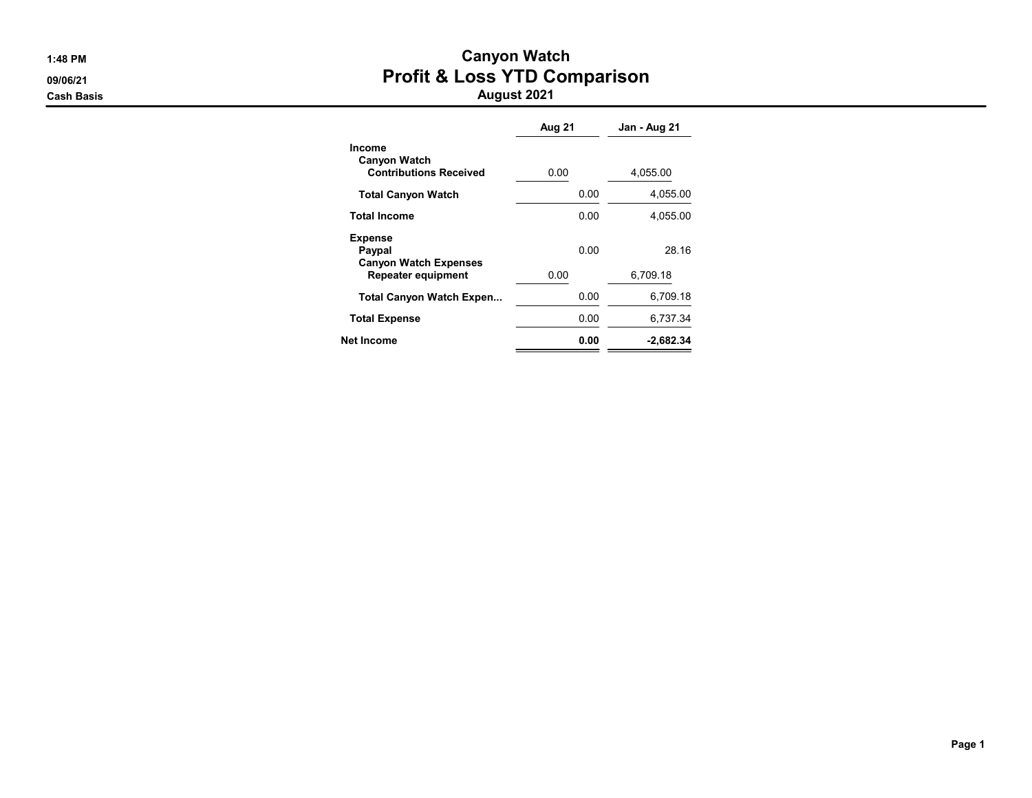# 1:48 PM Canyon Watch 09/06/21 **Profit & Loss YTD Comparison**

|                                                                       | Aug 21 | Jan - Aug 21 |
|-----------------------------------------------------------------------|--------|--------------|
| <b>Income</b><br><b>Canyon Watch</b><br><b>Contributions Received</b> | 0.00   | 4,055.00     |
| <b>Total Canyon Watch</b>                                             | 0.00   | 4,055.00     |
| <b>Total Income</b>                                                   | 0.00   | 4,055.00     |
| <b>Expense</b><br>Paypal<br><b>Canyon Watch Expenses</b>              | 0.00   | 28 16        |
| <b>Repeater equipment</b>                                             | 0.00   | 6.709.18     |
| <b>Total Canyon Watch Expen</b>                                       | 0.00   | 6.709.18     |
| <b>Total Expense</b>                                                  | 0.00   | 6,737.34     |
| Net Income                                                            | 0.00   | $-2.682.34$  |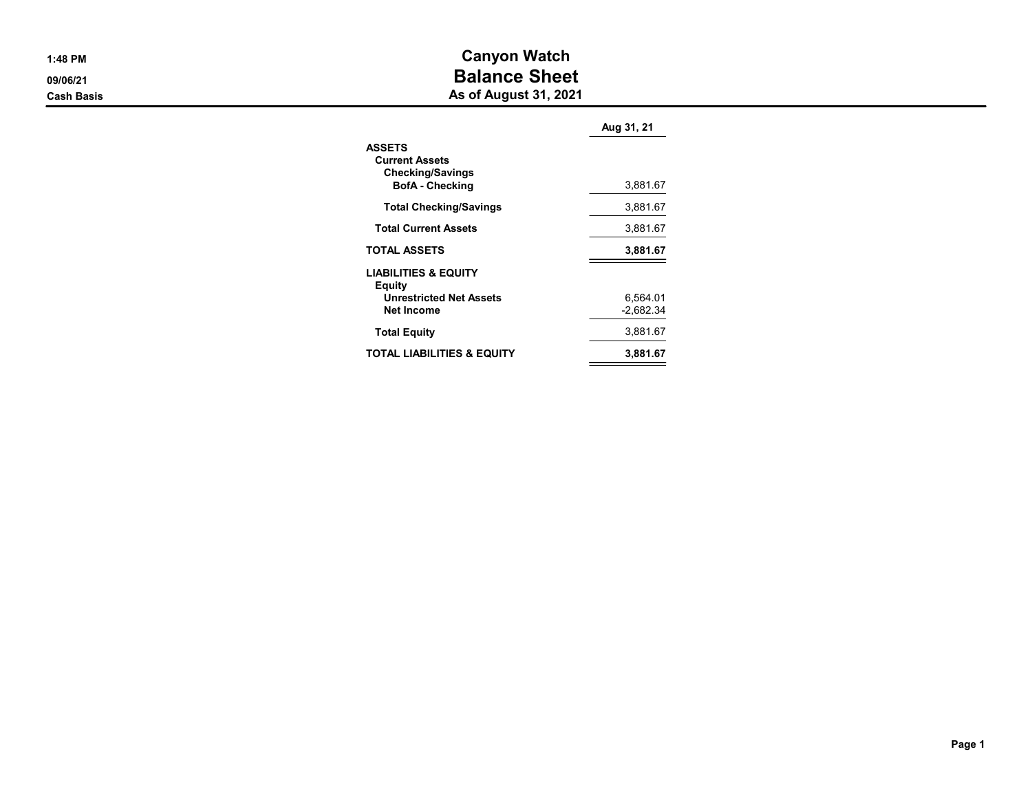| l:48 PM |  |
|---------|--|
|         |  |

# **Canyon Watch DESCRIPTION**<br>
09/06/21 Balance Sheet

**Cash Basis** Cash Basis **As of August 31, 2021** 

|                                                                                             | Aug 31, 21              |
|---------------------------------------------------------------------------------------------|-------------------------|
| <b>ASSETS</b><br><b>Current Assets</b><br><b>Checking/Savings</b><br><b>BofA</b> - Checking | 3,881.67                |
| <b>Total Checking/Savings</b>                                                               | 3,881.67                |
| <b>Total Current Assets</b>                                                                 | 3,881.67                |
| <b>TOTAL ASSETS</b>                                                                         | 3,881.67                |
| <b>LIABILITIES &amp; EQUITY</b><br>Equity<br><b>Unrestricted Net Assets</b><br>Net Income   | 6,564.01<br>$-2.682.34$ |
| <b>Total Equity</b>                                                                         | 3,881.67                |
| TOTAL LIABILITIES & EQUITY                                                                  | 3.881.67                |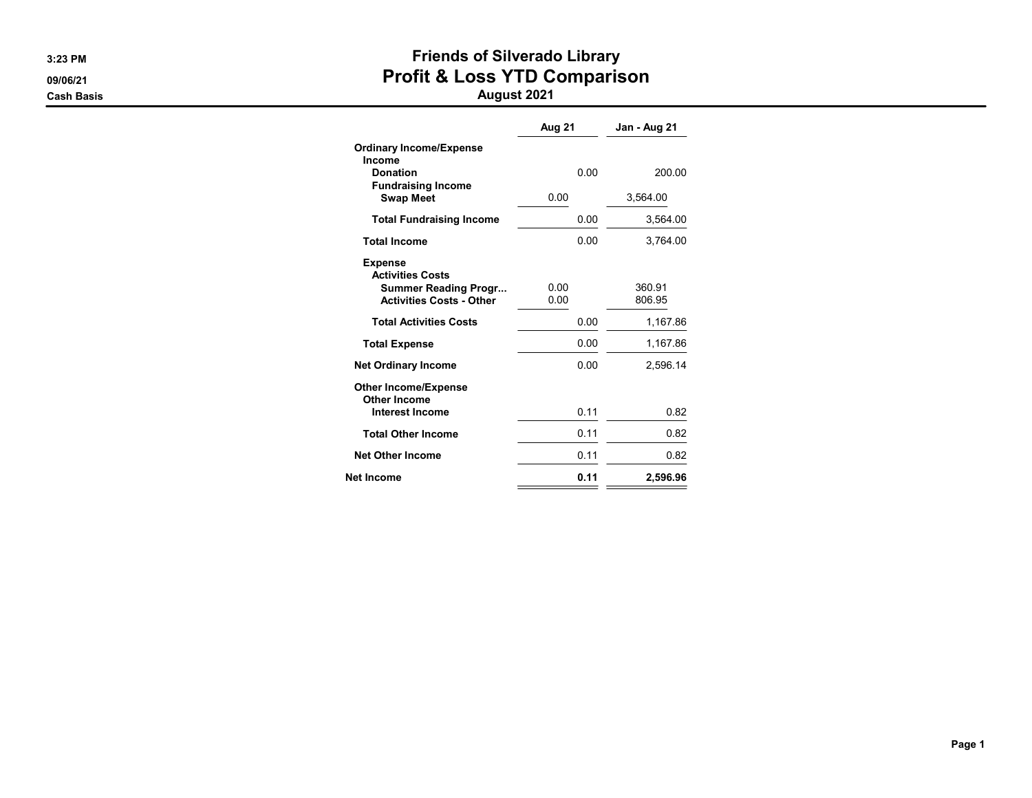# 3:23 PM **Friends of Silverado Library** 09/06/21 **Profit & Loss YTD Comparison**

|                                                                                                             | Aug 21       | Jan - Aug 21     |
|-------------------------------------------------------------------------------------------------------------|--------------|------------------|
| <b>Ordinary Income/Expense</b><br>Income                                                                    |              |                  |
| <b>Donation</b>                                                                                             | 0.00         | 200.00           |
| <b>Fundraising Income</b><br><b>Swap Meet</b>                                                               | 0.00         | 3,564.00         |
| <b>Total Fundraising Income</b>                                                                             | 0.00         | 3,564.00         |
| <b>Total Income</b>                                                                                         | 0.00         | 3,764.00         |
| <b>Expense</b><br><b>Activities Costs</b><br><b>Summer Reading Progr</b><br><b>Activities Costs - Other</b> | 0.00<br>0.00 | 360.91<br>806.95 |
| <b>Total Activities Costs</b>                                                                               | 0.00         | 1,167.86         |
| <b>Total Expense</b>                                                                                        | 0.00         | 1,167.86         |
| <b>Net Ordinary Income</b>                                                                                  | 0.00         | 2,596.14         |
| <b>Other Income/Expense</b><br>Other Income                                                                 |              |                  |
| <b>Interest Income</b>                                                                                      | 0.11         | 0.82             |
| <b>Total Other Income</b>                                                                                   | 0.11         | 0.82             |
| <b>Net Other Income</b>                                                                                     | 0.11         | 0.82             |
| Net Income                                                                                                  | 0.11         | 2,596.96         |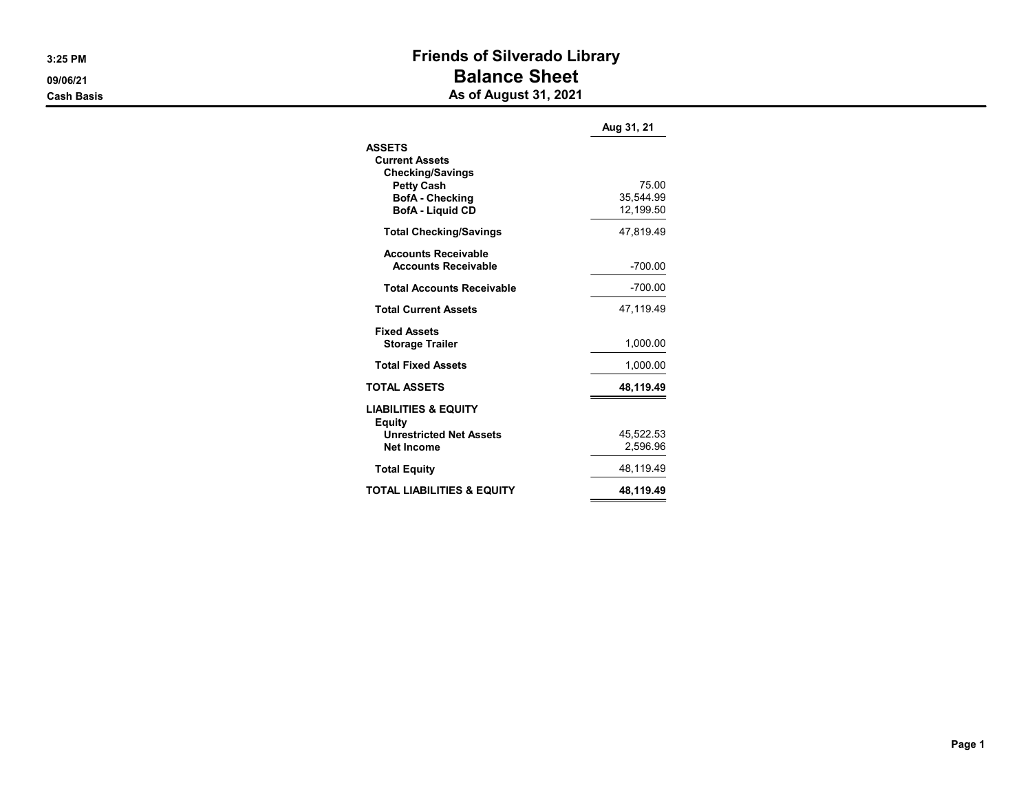### 3:25 PM **Friends of Silverado Library** 09/06/21 **Balance Sheet** External<br>Cash Basis **As of August 31, 2021**

|                                                                                                                                             | Aug 31, 21                      |
|---------------------------------------------------------------------------------------------------------------------------------------------|---------------------------------|
| <b>ASSETS</b><br><b>Current Assets</b><br><b>Checking/Savings</b><br><b>Petty Cash</b><br><b>BofA</b> - Checking<br><b>BofA - Liquid CD</b> | 75.00<br>35,544.99<br>12,199.50 |
| <b>Total Checking/Savings</b>                                                                                                               | 47.819.49                       |
| <b>Accounts Receivable</b><br><b>Accounts Receivable</b>                                                                                    | $-700.00$                       |
| <b>Total Accounts Receivable</b>                                                                                                            | -700.00                         |
| <b>Total Current Assets</b>                                                                                                                 | 47,119.49                       |
| <b>Fixed Assets</b><br><b>Storage Trailer</b>                                                                                               | 1,000.00                        |
| <b>Total Fixed Assets</b>                                                                                                                   | 1.000.00                        |
| <b>TOTAL ASSETS</b>                                                                                                                         | 48,119.49                       |
| <b>LIABILITIES &amp; EQUITY</b><br>Equity<br><b>Unrestricted Net Assets</b><br><b>Net Income</b>                                            | 45,522.53<br>2,596.96           |
| <b>Total Equity</b>                                                                                                                         | 48,119.49                       |
| TOTAL LIABILITIES & EQUITY                                                                                                                  | 48.119.49                       |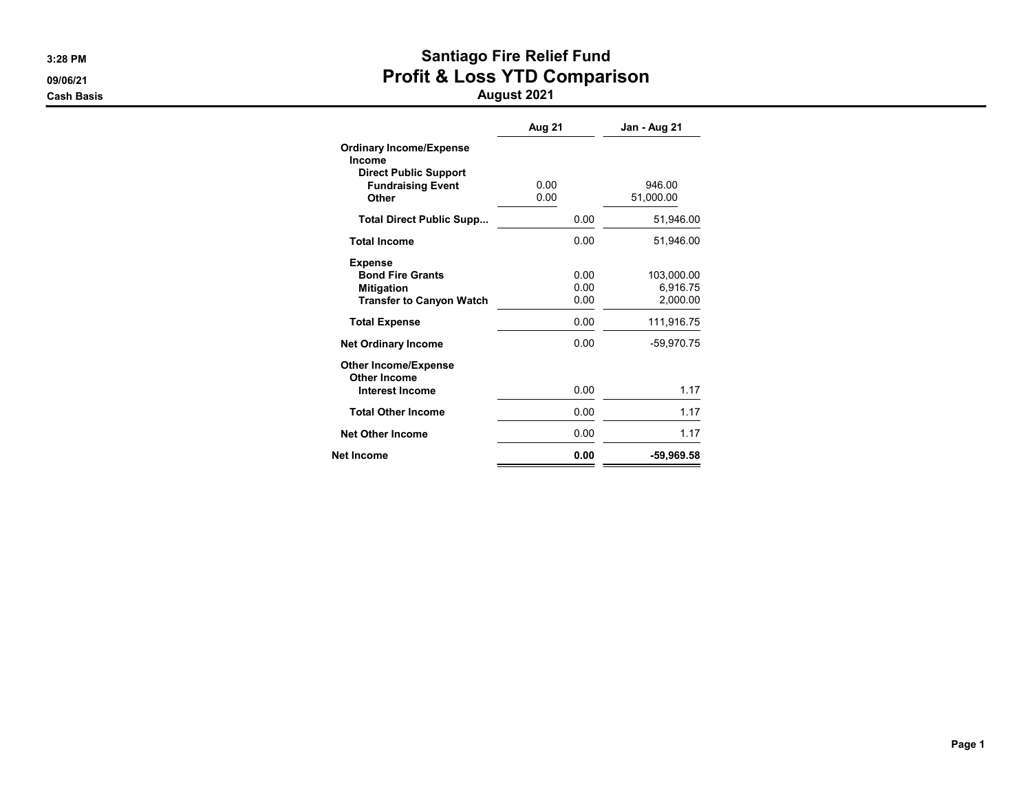# 3:28 PM Santiago Fire Relief Fund 09/06/21 **Profit & Loss YTD Comparison**

|                                                                                                   | Aug 21               | Jan - Aug 21                       |
|---------------------------------------------------------------------------------------------------|----------------------|------------------------------------|
| <b>Ordinary Income/Expense</b><br>Income<br><b>Direct Public Support</b>                          |                      |                                    |
| <b>Fundraising Event</b><br>Other                                                                 | 0.00<br>0.00         | 946.00<br>51,000.00                |
| <b>Total Direct Public Supp</b>                                                                   | 0.00                 | 51,946.00                          |
| <b>Total Income</b>                                                                               | 0.00                 | 51.946.00                          |
| <b>Expense</b><br><b>Bond Fire Grants</b><br><b>Mitigation</b><br><b>Transfer to Canyon Watch</b> | 0.00<br>0.00<br>0.00 | 103,000.00<br>6,916.75<br>2,000.00 |
| <b>Total Expense</b>                                                                              | 0.00                 | 111,916.75                         |
| <b>Net Ordinary Income</b>                                                                        | 0.00                 | -59,970.75                         |
| <b>Other Income/Expense</b><br>Other Income<br><b>Interest Income</b>                             | 0.00                 | 1.17                               |
| <b>Total Other Income</b>                                                                         | 0.00                 | 1.17                               |
| <b>Net Other Income</b>                                                                           | 0.00                 | 1.17                               |
| <b>Net Income</b>                                                                                 | 0.00                 | -59,969.58                         |